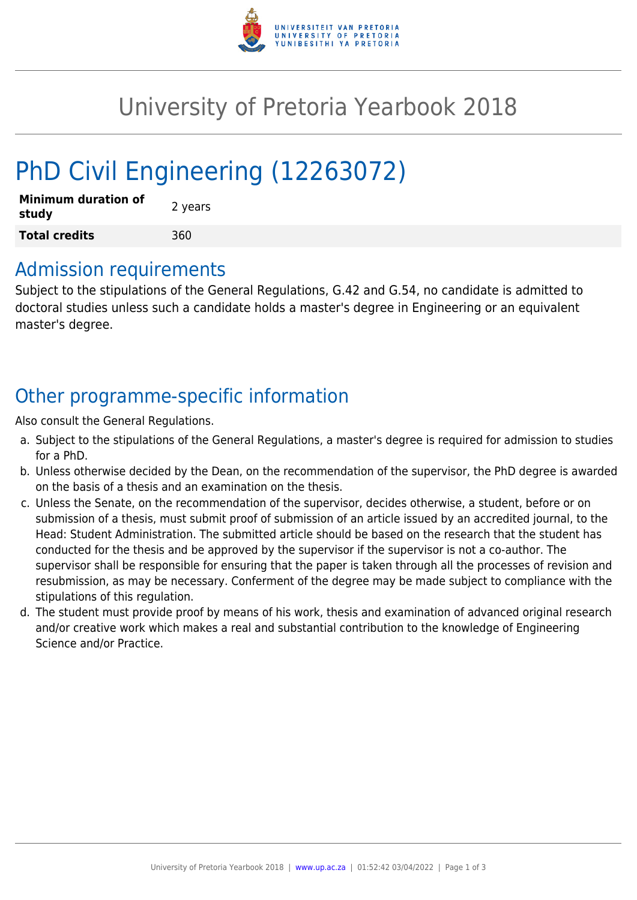

# University of Pretoria Yearbook 2018

# PhD Civil Engineering (12263072)

| <b>Minimum duration of</b><br>study | 2 years |
|-------------------------------------|---------|
| <b>Total credits</b>                | 360     |

### Admission requirements

Subject to the stipulations of the General Regulations, G.42 and G.54, no candidate is admitted to doctoral studies unless such a candidate holds a master's degree in Engineering or an equivalent master's degree.

## Other programme-specific information

Also consult the General Regulations.

- a. Subject to the stipulations of the General Regulations, a master's degree is required for admission to studies for a PhD.
- b. Unless otherwise decided by the Dean, on the recommendation of the supervisor, the PhD degree is awarded on the basis of a thesis and an examination on the thesis.
- c. Unless the Senate, on the recommendation of the supervisor, decides otherwise, a student, before or on submission of a thesis, must submit proof of submission of an article issued by an accredited journal, to the Head: Student Administration. The submitted article should be based on the research that the student has conducted for the thesis and be approved by the supervisor if the supervisor is not a co-author. The supervisor shall be responsible for ensuring that the paper is taken through all the processes of revision and resubmission, as may be necessary. Conferment of the degree may be made subject to compliance with the stipulations of this regulation.
- d. The student must provide proof by means of his work, thesis and examination of advanced original research and/or creative work which makes a real and substantial contribution to the knowledge of Engineering Science and/or Practice.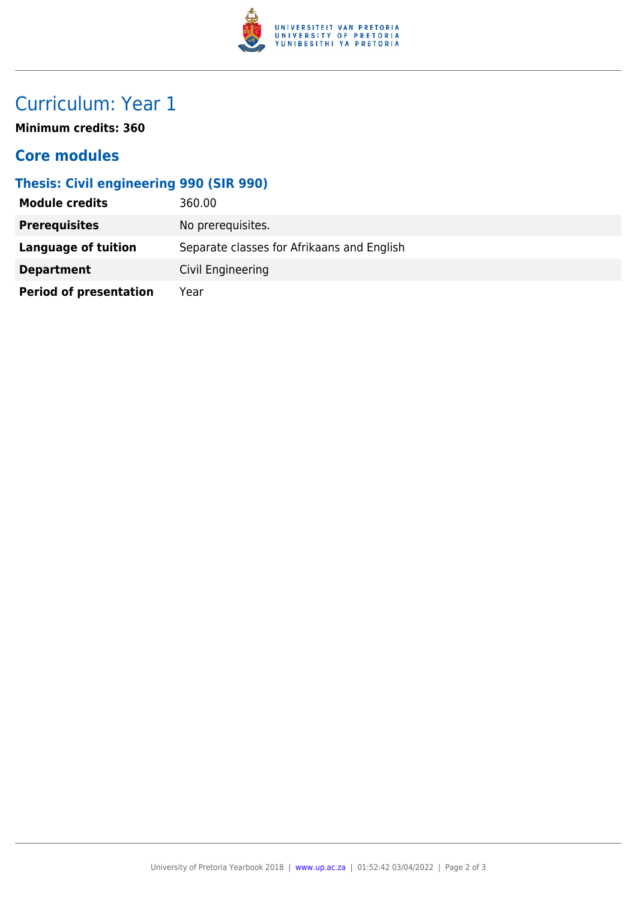

## Curriculum: Year 1

**Minimum credits: 360**

### **Core modules**

#### **Thesis: Civil engineering 990 (SIR 990)**

| <b>Module credits</b>         | 360.00                                     |
|-------------------------------|--------------------------------------------|
| <b>Prerequisites</b>          | No prerequisites.                          |
| Language of tuition           | Separate classes for Afrikaans and English |
| <b>Department</b>             | Civil Engineering                          |
| <b>Period of presentation</b> | Year                                       |